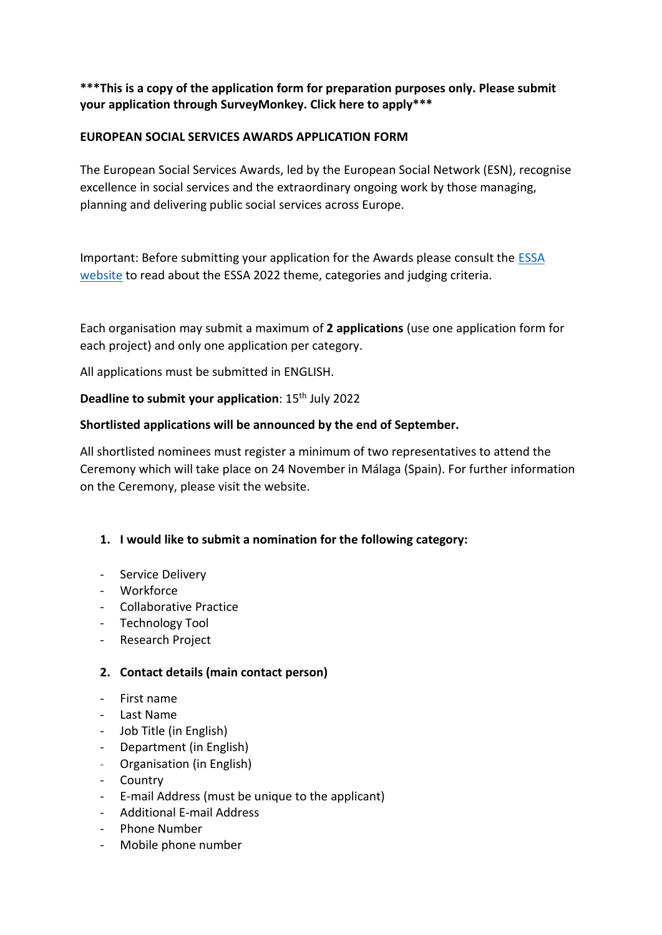# **\*\*\*This is a copy of the application form for preparation purposes only. Please submit your application through SurveyMonkey. Click here to apply\*\*\***

## **EUROPEAN SOCIAL SERVICES AWARDS APPLICATION FORM**

The European Social Services Awards, led by the European Social Network (ESN), recognise excellence in social services and the extraordinary ongoing work by those managing, planning and delivering public social services across Europe.

Important: Before submitting your application for the Awards please consult the [ESSA](https://essa-eu.org/)  [website](https://essa-eu.org/) to read about the ESSA 2022 theme, categories and judging criteria.

Each organisation may submit a maximum of **2 applications** (use one application form for each project) and only one application per category.

All applications must be submitted in ENGLISH.

### **Deadline to submit your application**: 15<sup>th</sup> July 2022

### **Shortlisted applications will be announced by the end of September.**

All shortlisted nominees must register a minimum of two representatives to attend the Ceremony which will take place on 24 November in Málaga (Spain). For further information on the Ceremony, please visit the website.

### **1. I would like to submit a nomination for the following category:**

- Service Delivery
- Workforce
- Collaborative Practice
- Technology Tool
- Research Project

#### **2. Contact details (main contact person)**

- First name
- Last Name
- Job Title (in English)
- Department (in English)
- Organisation (in English)
- Country
- E-mail Address (must be unique to the applicant)
- Additional E-mail Address
- Phone Number
- Mobile phone number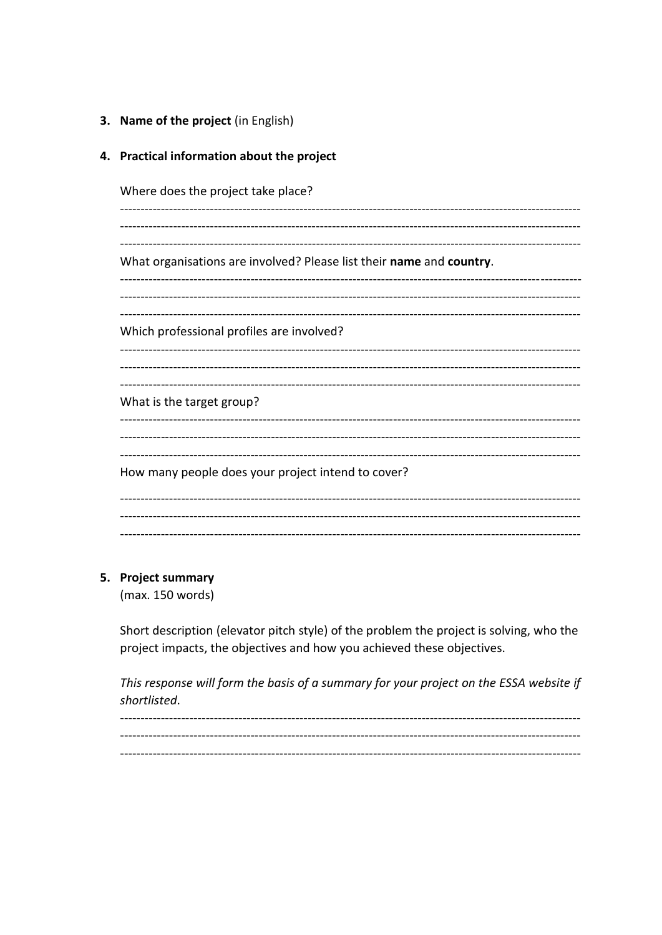3. Name of the project (in English)

4. Practical information about the project

| Where does the project take place?                                   |
|----------------------------------------------------------------------|
| What organisations are involved? Please list their name and country. |
| Which professional profiles are involved?                            |
| What is the target group?                                            |
| How many people does your project intend to cover?                   |
|                                                                      |

### 5. Project summary

 $(max. 150 words)$ 

Short description (elevator pitch style) of the problem the project is solving, who the project impacts, the objectives and how you achieved these objectives.

This response will form the basis of a summary for your project on the ESSA website if shortlisted.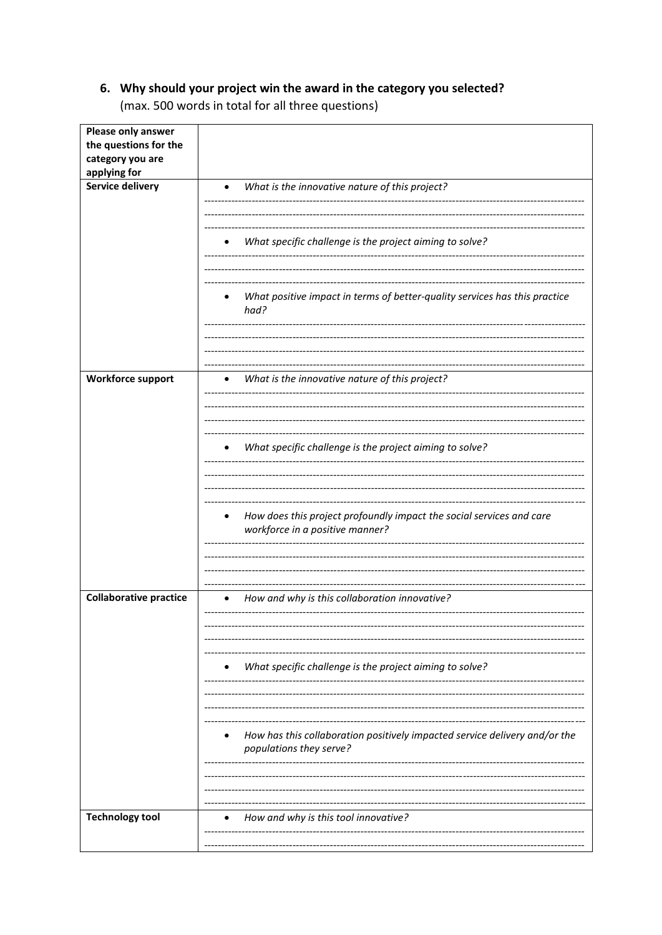# 6. Why should your project win the award in the category you selected?

(max. 500 words in total for all three questions)

| Please only answer<br>the questions for the |                                                                                    |
|---------------------------------------------|------------------------------------------------------------------------------------|
| category you are<br>applying for            |                                                                                    |
| <b>Service delivery</b>                     | What is the innovative nature of this project?                                     |
|                                             |                                                                                    |
|                                             | What specific challenge is the project aiming to solve?                            |
|                                             |                                                                                    |
|                                             |                                                                                    |
|                                             | What positive impact in terms of better-quality services has this practice<br>had? |
|                                             |                                                                                    |
|                                             |                                                                                    |
| <b>Workforce support</b>                    | What is the innovative nature of this project?<br>$\bullet$                        |
|                                             |                                                                                    |
|                                             |                                                                                    |
|                                             | What specific challenge is the project aiming to solve?                            |
|                                             |                                                                                    |
|                                             | How does this project profoundly impact the social services and care<br>$\bullet$  |
|                                             | workforce in a positive manner?                                                    |
|                                             |                                                                                    |
|                                             |                                                                                    |
| <b>Collaborative practice</b>               | How and why is this collaboration innovative?                                      |
|                                             |                                                                                    |
|                                             |                                                                                    |
|                                             | What specific challenge is the project aiming to solve?                            |
|                                             |                                                                                    |
|                                             | How has this collaboration positively impacted service delivery and/or the         |
|                                             | populations they serve?                                                            |
|                                             |                                                                                    |
|                                             |                                                                                    |
| <b>Technology tool</b>                      | How and why is this tool innovative?                                               |
|                                             |                                                                                    |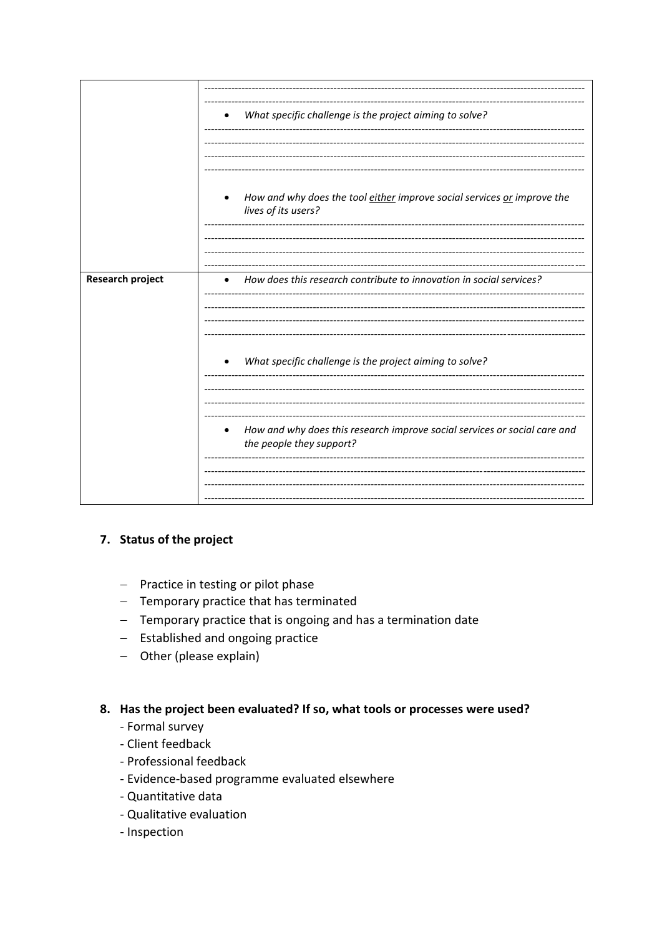|                         | What specific challenge is the project aiming to solve?<br>$\bullet$                                               |
|-------------------------|--------------------------------------------------------------------------------------------------------------------|
|                         | How and why does the tool either improve social services or improve the<br>$\bullet$<br>lives of its users?        |
| <b>Research project</b> | How does this research contribute to innovation in social services?                                                |
|                         |                                                                                                                    |
|                         | What specific challenge is the project aiming to solve?<br>$\bullet$                                               |
|                         | How and why does this research improve social services or social care and<br>$\bullet$<br>the people they support? |

### 7. Status of the project

- Practice in testing or pilot phase
- Temporary practice that has terminated
- Temporary practice that is ongoing and has a termination date
- $-$  Established and ongoing practice
- $-$  Other (please explain)

### 8. Has the project been evaluated? If so, what tools or processes were used?

- Formal survey
- Client feedback
- Professional feedback
- Evidence-based programme evaluated elsewhere
- Quantitative data
- Qualitative evaluation
- Inspection